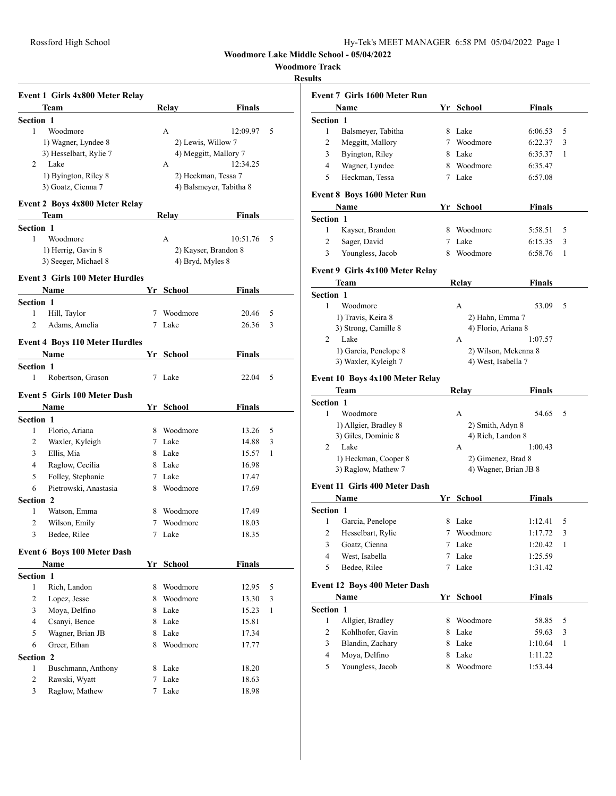**Woodmore Lake Middle School - 05/04/2022**

**Woodmore Track**

## **Results**

|                  | Event 1 Girls 4x800 Meter Relay        |    |                      |                         |              |
|------------------|----------------------------------------|----|----------------------|-------------------------|--------------|
|                  | Team                                   |    | Relay                | Finals                  |              |
| <b>Section 1</b> |                                        |    |                      |                         |              |
| 1                | Woodmore                               |    | A                    | 12:09.97                | 5            |
|                  | 1) Wagner, Lyndee 8                    |    | 2) Lewis, Willow 7   |                         |              |
|                  | 3) Hesselbart, Rylie 7                 |    |                      | 4) Meggitt, Mallory 7   |              |
| 2                | Lake                                   |    | А                    | 12:34.25                |              |
|                  | 1) Byington, Riley 8                   |    | 2) Heckman, Tessa 7  |                         |              |
|                  | 3) Goatz, Cienna 7                     |    |                      | 4) Balsmeyer, Tabitha 8 |              |
|                  | <b>Event 2 Boys 4x800 Meter Relay</b>  |    |                      |                         |              |
|                  | Team                                   |    | Relay                | <b>Finals</b>           |              |
| <b>Section 1</b> |                                        |    |                      |                         |              |
| 1                | Woodmore                               |    | A                    | 10:51.76                | 5            |
|                  | 1) Herrig, Gavin 8                     |    | 2) Kayser, Brandon 8 |                         |              |
|                  | 3) Seeger, Michael 8                   |    | 4) Bryd, Myles 8     |                         |              |
|                  | <b>Event 3 Girls 100 Meter Hurdles</b> |    |                      |                         |              |
|                  | Name                                   |    | Yr School            | Finals                  |              |
| <b>Section 1</b> |                                        |    |                      |                         |              |
| 1                | Hill, Taylor                           |    | 7 Woodmore           | 20.46                   | 5            |
| $\overline{2}$   | Adams, Amelia                          |    | 7 Lake               | 26.36                   | 3            |
|                  |                                        |    |                      |                         |              |
|                  | <b>Event 4 Boys 110 Meter Hurdles</b>  |    |                      |                         |              |
|                  | Name                                   |    | Yr School            | Finals                  |              |
| Section 1<br>1   | Robertson, Grason                      | 7  | Lake                 | 22.04                   | 5            |
|                  |                                        |    |                      |                         |              |
|                  | <b>Event 5 Girls 100 Meter Dash</b>    |    |                      |                         |              |
|                  | Name                                   |    | Yr School            | Finals                  |              |
| <b>Section 1</b> |                                        |    |                      |                         |              |
| 1                | Florio, Ariana                         |    | 8 Woodmore           | 13.26                   | 5            |
| 2                | Waxler, Kyleigh                        |    | 7 Lake               | 14.88                   | 3            |
| 3                | Ellis, Mia                             |    | 8 Lake               | 15.57                   | 1            |
| 4                | Raglow, Cecilia                        |    | 8 Lake               | 16.98                   |              |
| 5                | Folley, Stephanie                      |    | 7 Lake               | 17.47                   |              |
| 6                | Pietrowski, Anastasia                  |    | 8 Woodmore           | 17.69                   |              |
| Section 2        |                                        |    |                      |                         |              |
| 1                | Watson, Emma                           |    | 8 Woodmore           | 17.49                   |              |
| 2                | Wilson, Emily                          |    | 7 Woodmore           | 18.03                   |              |
| 3                | Bedee, Rilee                           |    | 7 Lake               | 18.35                   |              |
|                  | <b>Event 6 Boys 100 Meter Dash</b>     |    |                      |                         |              |
|                  | Name                                   |    | Yr School            | <b>Finals</b>           |              |
| Section 1        |                                        |    |                      |                         |              |
| 1                | Rich, Landon                           |    | 8 Woodmore           | 12.95                   | 5            |
| 2                | Lopez, Jesse                           |    | 8 Woodmore           | 13.30                   | 3            |
| 3                | Moya, Delfino                          |    | 8 Lake               | 15.23                   | $\mathbf{1}$ |
| 4                | Csanyi, Bence                          |    | 8 Lake               | 15.81                   |              |
| 5                | Wagner, Brian JB                       |    | 8 Lake               | 17.34                   |              |
| 6                | Greer, Ethan                           | 8  | Woodmore             | 17.77                   |              |
| Section 2        |                                        |    |                      |                         |              |
| 1                | Buschmann, Anthony                     | 8. | Lake                 | 18.20                   |              |
| $\overline{c}$   | Rawski, Wyatt                          | 7  | Lake                 | 18.63                   |              |
| 3                | Raglow, Mathew                         | 7  | Lake                 | 18.98                   |              |

|                       | Event 7 Girls 1600 Meter Run         |    |                                                                                                                                                                                                                                                                                                                                                                                                                                                                                                         |               |   |
|-----------------------|--------------------------------------|----|---------------------------------------------------------------------------------------------------------------------------------------------------------------------------------------------------------------------------------------------------------------------------------------------------------------------------------------------------------------------------------------------------------------------------------------------------------------------------------------------------------|---------------|---|
|                       | Name                                 |    | Yr School                                                                                                                                                                                                                                                                                                                                                                                                                                                                                               | <b>Finals</b> |   |
| Section 1             |                                      |    |                                                                                                                                                                                                                                                                                                                                                                                                                                                                                                         |               |   |
| 1                     | Balsmeyer, Tabitha                   |    | 8 Lake                                                                                                                                                                                                                                                                                                                                                                                                                                                                                                  | 6:06.53       | 5 |
| 2                     | Meggitt, Mallory                     |    | 7 Woodmore                                                                                                                                                                                                                                                                                                                                                                                                                                                                                              | 6:22.37       | 3 |
| 3                     | Byington, Riley                      |    | 8 Lake                                                                                                                                                                                                                                                                                                                                                                                                                                                                                                  | 6:35.37       | 1 |
| 4                     | Wagner, Lyndee                       |    | 8 Woodmore                                                                                                                                                                                                                                                                                                                                                                                                                                                                                              | 6:35.47       |   |
| 5                     | Heckman, Tessa                       |    | 7 Lake                                                                                                                                                                                                                                                                                                                                                                                                                                                                                                  | 6:57.08       |   |
|                       | <b>Event 8 Boys 1600 Meter Run</b>   |    |                                                                                                                                                                                                                                                                                                                                                                                                                                                                                                         |               |   |
|                       | Name                                 |    | Yr School                                                                                                                                                                                                                                                                                                                                                                                                                                                                                               | <b>Finals</b> |   |
| <b>Section 1</b>      |                                      |    |                                                                                                                                                                                                                                                                                                                                                                                                                                                                                                         |               |   |
| 1                     | Kayser, Brandon                      |    | 8 Woodmore                                                                                                                                                                                                                                                                                                                                                                                                                                                                                              | 5:58.51       | 5 |
| 2                     | Sager, David                         |    | 7 Lake                                                                                                                                                                                                                                                                                                                                                                                                                                                                                                  | 6:15.35       | 3 |
| 3                     | Youngless, Jacob                     | 8  | Woodmore                                                                                                                                                                                                                                                                                                                                                                                                                                                                                                | 6:58.76       | 1 |
|                       |                                      |    |                                                                                                                                                                                                                                                                                                                                                                                                                                                                                                         |               |   |
|                       | Event 9 Girls 4x100 Meter Relay      |    |                                                                                                                                                                                                                                                                                                                                                                                                                                                                                                         |               |   |
|                       | Team                                 |    |                                                                                                                                                                                                                                                                                                                                                                                                                                                                                                         |               |   |
| Section 1             |                                      |    |                                                                                                                                                                                                                                                                                                                                                                                                                                                                                                         |               |   |
| 1                     | Woodmore                             |    |                                                                                                                                                                                                                                                                                                                                                                                                                                                                                                         |               |   |
|                       | 1) Travis, Keira 8                   |    |                                                                                                                                                                                                                                                                                                                                                                                                                                                                                                         |               |   |
| 2                     | 3) Strong, Camille 8<br>Lake         |    |                                                                                                                                                                                                                                                                                                                                                                                                                                                                                                         |               |   |
|                       | 1) Garcia, Penelope 8                |    |                                                                                                                                                                                                                                                                                                                                                                                                                                                                                                         |               |   |
|                       | 3) Waxler, Kyleigh 7                 |    |                                                                                                                                                                                                                                                                                                                                                                                                                                                                                                         |               |   |
|                       |                                      |    |                                                                                                                                                                                                                                                                                                                                                                                                                                                                                                         |               |   |
|                       | Event 10 Boys 4x100 Meter Relay      |    |                                                                                                                                                                                                                                                                                                                                                                                                                                                                                                         |               |   |
|                       | Team                                 |    | Relay                                                                                                                                                                                                                                                                                                                                                                                                                                                                                                   | Finals        |   |
| Section 1             |                                      |    |                                                                                                                                                                                                                                                                                                                                                                                                                                                                                                         |               |   |
| 1                     | Woodmore                             |    | А                                                                                                                                                                                                                                                                                                                                                                                                                                                                                                       | 54.65         | 5 |
|                       | 1) Allgier, Bradley 8                |    |                                                                                                                                                                                                                                                                                                                                                                                                                                                                                                         |               |   |
|                       | 3) Giles, Dominic 8                  |    |                                                                                                                                                                                                                                                                                                                                                                                                                                                                                                         |               |   |
| 2                     | Lake                                 |    | А                                                                                                                                                                                                                                                                                                                                                                                                                                                                                                       |               |   |
|                       | 1) Heckman, Cooper 8                 |    | Finals<br>Relay<br>А<br>53.09<br>5<br>2) Hahn, Emma 7<br>4) Florio, Ariana 8<br>1:07.57<br>А<br>2) Wilson, Mckenna 8<br>4) West, Isabella 7<br>2) Smith, Adyn 8<br>4) Rich, Landon 8<br>1:00.43<br>2) Gimenez, Brad 8<br>4) Wagner, Brian JB 8<br>Finals<br>1:12.41<br>5<br>1:17.72<br>3<br>Lake<br>1:20.42<br>1<br>Lake<br>1:25.59<br>Lake<br>1:31.42<br>School<br><b>Finals</b><br>Woodmore<br>58.85<br>5<br>Lake<br>3<br>59.63<br>8 Lake<br>1:10.64<br>1<br>8 Lake<br>1:11.22<br>Woodmore<br>1:53.44 |               |   |
|                       | 3) Raglow, Mathew 7                  |    |                                                                                                                                                                                                                                                                                                                                                                                                                                                                                                         |               |   |
|                       | <b>Event 11 Girls 400 Meter Dash</b> |    |                                                                                                                                                                                                                                                                                                                                                                                                                                                                                                         |               |   |
|                       | Name                                 |    | Yr School                                                                                                                                                                                                                                                                                                                                                                                                                                                                                               |               |   |
| Section 1             |                                      |    |                                                                                                                                                                                                                                                                                                                                                                                                                                                                                                         |               |   |
| 1                     | Garcia, Penelope                     |    | 8 Lake                                                                                                                                                                                                                                                                                                                                                                                                                                                                                                  |               |   |
| 2                     | Hesselbart, Rylie                    |    | 7 Woodmore                                                                                                                                                                                                                                                                                                                                                                                                                                                                                              |               |   |
| 3                     | Goatz, Cienna                        | 7  |                                                                                                                                                                                                                                                                                                                                                                                                                                                                                                         |               |   |
| $\overline{4}$        | West, Isabella                       | 7  |                                                                                                                                                                                                                                                                                                                                                                                                                                                                                                         |               |   |
| 5                     | Bedee, Rilee                         | 7  |                                                                                                                                                                                                                                                                                                                                                                                                                                                                                                         |               |   |
|                       | <b>Event 12 Boys 400 Meter Dash</b>  |    |                                                                                                                                                                                                                                                                                                                                                                                                                                                                                                         |               |   |
|                       | Name                                 | Yr |                                                                                                                                                                                                                                                                                                                                                                                                                                                                                                         |               |   |
|                       |                                      |    |                                                                                                                                                                                                                                                                                                                                                                                                                                                                                                         |               |   |
| <b>Section 1</b><br>1 | Allgier, Bradley                     | 8  |                                                                                                                                                                                                                                                                                                                                                                                                                                                                                                         |               |   |
| 2                     | Kohlhofer, Gavin                     | 8  |                                                                                                                                                                                                                                                                                                                                                                                                                                                                                                         |               |   |
| 3                     | Blandin, Zachary                     |    |                                                                                                                                                                                                                                                                                                                                                                                                                                                                                                         |               |   |
| 4                     | Moya, Delfino                        |    |                                                                                                                                                                                                                                                                                                                                                                                                                                                                                                         |               |   |
|                       |                                      |    |                                                                                                                                                                                                                                                                                                                                                                                                                                                                                                         |               |   |
|                       |                                      |    |                                                                                                                                                                                                                                                                                                                                                                                                                                                                                                         |               |   |
| 5                     | Youngless, Jacob                     | 8  |                                                                                                                                                                                                                                                                                                                                                                                                                                                                                                         |               |   |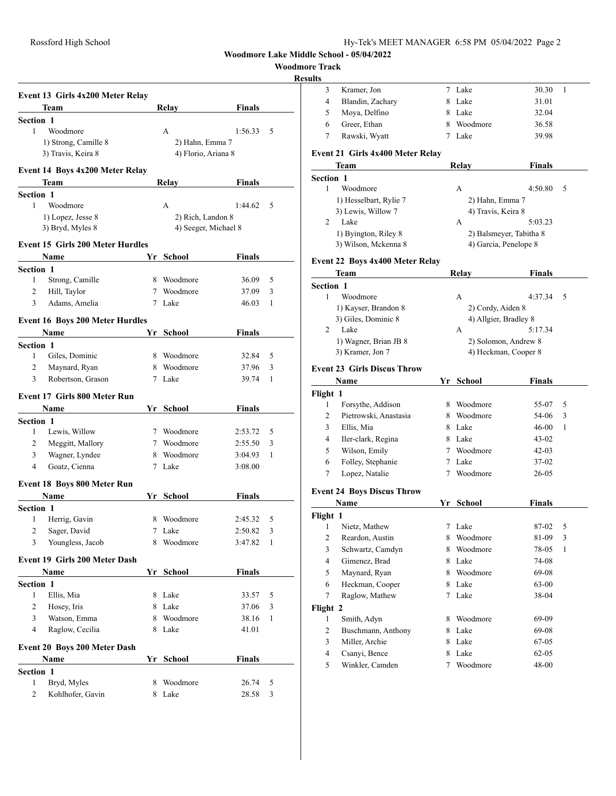**Woodmore Lake Middle School - 05/04/2022**

## **Woodmore Track**

## **Results**

|                  | Event 13 Girls 4x200 Meter Relay        |   |                      |               |   |
|------------------|-----------------------------------------|---|----------------------|---------------|---|
|                  | <b>Team</b>                             |   | Relay                | Finals        |   |
| <b>Section 1</b> |                                         |   |                      |               |   |
| 1                | Woodmore                                |   | A                    | 1:56.33       | 5 |
|                  | 1) Strong, Camille 8                    |   | 2) Hahn, Emma 7      |               |   |
|                  | 3) Travis, Keira 8                      |   | 4) Florio, Ariana 8  |               |   |
|                  | Event 14 Boys 4x200 Meter Relay         |   |                      |               |   |
|                  | Team                                    |   | Relay                | Finals        |   |
| <b>Section 1</b> |                                         |   |                      |               |   |
| 1                | Woodmore                                |   | А                    | 1:44.62       | 5 |
|                  | 1) Lopez, Jesse 8                       |   | 2) Rich, Landon 8    |               |   |
|                  | 3) Bryd, Myles 8                        |   | 4) Seeger, Michael 8 |               |   |
|                  |                                         |   |                      |               |   |
|                  | <b>Event 15 Girls 200 Meter Hurdles</b> |   |                      |               |   |
|                  | Name                                    |   | Yr School            | Finals        |   |
| Section 1        |                                         |   |                      |               |   |
| 1                | Strong, Camille                         |   | 8 Woodmore           | 36.09         | 5 |
| 2                | Hill, Taylor                            |   | 7 Woodmore           | 37.09         | 3 |
| 3                | Adams, Amelia                           |   | 7 Lake               | 46.03         | 1 |
|                  | <b>Event 16 Boys 200 Meter Hurdles</b>  |   |                      |               |   |
|                  | Name                                    |   | Yr School            | Finals        |   |
| <b>Section 1</b> |                                         |   |                      |               |   |
| 1                | Giles, Dominic                          |   | 8 Woodmore           | 32.84         | 5 |
| 2                | Maynard, Ryan                           |   | 8 Woodmore           | 37.96         | 3 |
| 3                | Robertson, Grason                       |   | 7 Lake               | 39.74         | 1 |
|                  |                                         |   |                      |               |   |
|                  | Event 17 Girls 800 Meter Run            |   |                      |               |   |
|                  | Name                                    |   | Yr School            | <b>Finals</b> |   |
| Section 1        |                                         |   |                      |               |   |
| 1                | Lewis, Willow                           |   | 7 Woodmore           | 2:53.72       | 5 |
| 2                | Meggitt, Mallory                        |   | 7 Woodmore           | 2:55.50       | 3 |
| 3                | Wagner, Lyndee                          |   | 8 Woodmore           | 3:04.93       | 1 |
| 4                | Goatz, Cienna                           | 7 | Lake                 | 3:08.00       |   |
|                  | <b>Event 18 Boys 800 Meter Run</b>      |   |                      |               |   |
|                  | Name                                    |   | Yr School            | Finals        |   |
| <b>Section 1</b> |                                         |   |                      |               |   |
| 1                | Herrig, Gavin                           |   | 8 Woodmore           | 2:45.32       | 5 |
| 2                | Sager, David                            |   | 7 Lake               | 2:50.82       | 3 |
| 3                | Youngless, Jacob                        |   | 8 Woodmore           | 3:47.82       | 1 |
|                  |                                         |   |                      |               |   |
|                  | <b>Event 19 Girls 200 Meter Dash</b>    |   |                      |               |   |
|                  | Name                                    |   | Yr School            | <b>Finals</b> |   |
| <b>Section 1</b> |                                         |   |                      |               |   |
| 1                | Ellis, Mia                              |   | 8 Lake               | 33.57         | 5 |
| 2                | Hosey, Iris                             |   | 8 Lake               | 37.06         | 3 |
| 3                | Watson, Emma                            |   | 8 Woodmore           | 38.16         | 1 |
| 4                | Raglow, Cecilia                         |   | 8 Lake               | 41.01         |   |
|                  |                                         |   |                      |               |   |
|                  | Event 20 Boys 200 Meter Dash            |   |                      |               |   |
|                  | Name                                    |   | Yr School            | <b>Finals</b> |   |
| Section 1        |                                         |   |                      |               |   |
| $\mathbf{1}$     | Bryd, Myles                             |   | 8 Woodmore           | 26.74         | 5 |
| 2                | Kohlhofer, Gavin                        |   | 8 Lake               | 28.58         | 3 |

| 3<br>Kramer, Jon<br>7 Lake<br>4<br>Blandin, Zachary<br>8 Lake<br>5<br>Moya, Delfino<br>8 Lake<br>Greer, Ethan<br>6<br>8 Woodmore<br>7<br>Rawski, Wyatt<br>7 Lake<br>Event 21 Girls 4x400 Meter Relay<br><b>Relay</b><br>Team<br>Section 1<br>Woodmore<br>1<br>А<br>1) Hesselbart, Rylie 7<br>2) Hahn, Emma 7 | 30.30<br>31.01<br>32.04<br>36.58<br>39.98<br><b>Finals</b> | 1 |
|--------------------------------------------------------------------------------------------------------------------------------------------------------------------------------------------------------------------------------------------------------------------------------------------------------------|------------------------------------------------------------|---|
|                                                                                                                                                                                                                                                                                                              |                                                            |   |
|                                                                                                                                                                                                                                                                                                              |                                                            |   |
|                                                                                                                                                                                                                                                                                                              |                                                            |   |
|                                                                                                                                                                                                                                                                                                              |                                                            |   |
|                                                                                                                                                                                                                                                                                                              |                                                            |   |
|                                                                                                                                                                                                                                                                                                              |                                                            |   |
|                                                                                                                                                                                                                                                                                                              |                                                            |   |
|                                                                                                                                                                                                                                                                                                              |                                                            |   |
|                                                                                                                                                                                                                                                                                                              |                                                            |   |
|                                                                                                                                                                                                                                                                                                              | 4:50.80                                                    | 5 |
|                                                                                                                                                                                                                                                                                                              |                                                            |   |
| 3) Lewis, Willow 7<br>4) Travis, Keira 8                                                                                                                                                                                                                                                                     |                                                            |   |
| 2<br>Lake<br>А                                                                                                                                                                                                                                                                                               | 5:03.23                                                    |   |
| 1) Byington, Riley 8<br>2) Balsmeyer, Tabitha 8                                                                                                                                                                                                                                                              |                                                            |   |
| 3) Wilson, Mckenna 8<br>4) Garcia, Penelope 8                                                                                                                                                                                                                                                                |                                                            |   |
| <b>Event 22 Boys 4x400 Meter Relay</b>                                                                                                                                                                                                                                                                       |                                                            |   |
| <b>Relay</b><br>Team                                                                                                                                                                                                                                                                                         | <b>Finals</b>                                              |   |
| Section 1                                                                                                                                                                                                                                                                                                    |                                                            |   |
| Woodmore<br>1<br>А                                                                                                                                                                                                                                                                                           | 4:37.34                                                    | 5 |
| 1) Kayser, Brandon 8<br>2) Cordy, Aiden 8                                                                                                                                                                                                                                                                    |                                                            |   |
| 3) Giles, Dominic 8<br>4) Allgier, Bradley 8                                                                                                                                                                                                                                                                 |                                                            |   |
| 2<br>Lake<br>А                                                                                                                                                                                                                                                                                               | 5:17.34                                                    |   |
| 1) Wagner, Brian JB 8<br>2) Solomon, Andrew 8                                                                                                                                                                                                                                                                |                                                            |   |
| 3) Kramer, Jon 7<br>4) Heckman, Cooper 8                                                                                                                                                                                                                                                                     |                                                            |   |
|                                                                                                                                                                                                                                                                                                              |                                                            |   |
| <b>Event 23 Girls Discus Throw</b>                                                                                                                                                                                                                                                                           |                                                            |   |
| Yr School<br>Name                                                                                                                                                                                                                                                                                            | <b>Finals</b>                                              |   |
| Flight 1                                                                                                                                                                                                                                                                                                     |                                                            |   |
| 1<br>Forsythe, Addison<br>8 Woodmore<br>Pietrowski, Anastasia<br>8 Woodmore                                                                                                                                                                                                                                  | 55-07                                                      | 5 |
| 2                                                                                                                                                                                                                                                                                                            |                                                            |   |
|                                                                                                                                                                                                                                                                                                              | 54-06                                                      | 3 |
| 3<br>Ellis, Mia<br>8 Lake                                                                                                                                                                                                                                                                                    | 46-00                                                      | 1 |
| 4<br>Iler-clark, Regina<br>8 Lake                                                                                                                                                                                                                                                                            | $43 - 02$                                                  |   |
| 5<br>Wilson, Emily<br>7 Woodmore                                                                                                                                                                                                                                                                             | 42-03                                                      |   |
| Folley, Stephanie<br>6<br>7 Lake                                                                                                                                                                                                                                                                             | 37-02                                                      |   |
| Lopez, Natalie<br>7<br>7 Woodmore                                                                                                                                                                                                                                                                            | 26-05                                                      |   |
| <b>Event 24 Boys Discus Throw</b>                                                                                                                                                                                                                                                                            |                                                            |   |
| Name<br>Yr School                                                                                                                                                                                                                                                                                            | <b>Finals</b>                                              |   |
| Flight 1                                                                                                                                                                                                                                                                                                     |                                                            |   |
| Nietz, Mathew<br>7 Lake<br>1                                                                                                                                                                                                                                                                                 | 87-02                                                      | 5 |
| Reardon, Austin<br>2<br>Woodmore<br>8.                                                                                                                                                                                                                                                                       | 81-09                                                      | 3 |
| 3<br>Schwartz, Camdyn<br>8 Woodmore                                                                                                                                                                                                                                                                          | 78-05                                                      | 1 |
| Gimenez, Brad<br>4<br>8 Lake                                                                                                                                                                                                                                                                                 | 74-08                                                      |   |
| Maynard, Ryan<br>5<br>8 Woodmore                                                                                                                                                                                                                                                                             | 69-08                                                      |   |
| 6<br>Heckman, Cooper<br>8 Lake                                                                                                                                                                                                                                                                               | 63-00                                                      |   |
| 7<br>Raglow, Mathew<br>7 Lake                                                                                                                                                                                                                                                                                | 38-04                                                      |   |
|                                                                                                                                                                                                                                                                                                              |                                                            |   |
| Flight 2<br>Woodmore<br>1<br>8                                                                                                                                                                                                                                                                               | 69-09                                                      |   |
| Smith, Adyn<br>2<br>8 Lake                                                                                                                                                                                                                                                                                   | 69-08                                                      |   |
| Buschmann, Anthony<br>3<br>Miller, Archie<br>8 Lake                                                                                                                                                                                                                                                          |                                                            |   |
| 4                                                                                                                                                                                                                                                                                                            | 67-05                                                      |   |
| Csanyi, Bence<br>8 Lake<br>Winkler, Camden<br>5<br>Woodmore<br>7                                                                                                                                                                                                                                             | 62-05<br>48-00                                             |   |